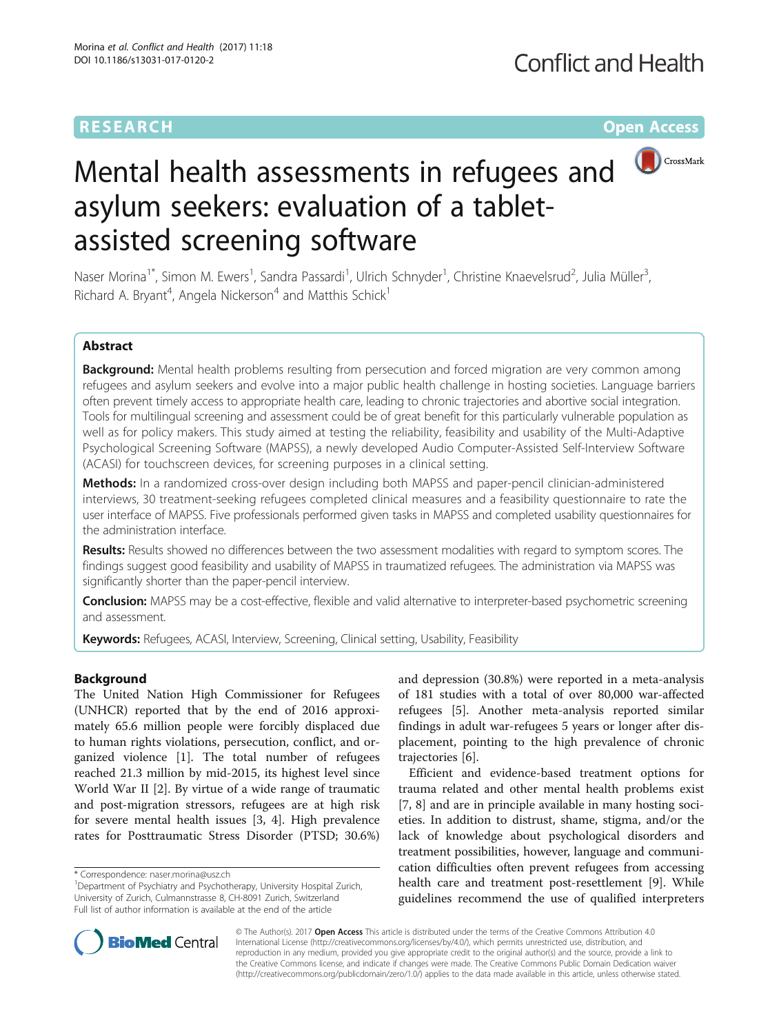## **RESEARCH CHE Open Access**



# Mental health assessments in refugees and asylum seekers: evaluation of a tabletassisted screening software

Naser Morina<sup>1\*</sup>, Simon M. Ewers<sup>1</sup>, Sandra Passardi<sup>1</sup>, Ulrich Schnyder<sup>1</sup>, Christine Knaevelsrud<sup>2</sup>, Julia Müller<sup>3</sup> , Richard A. Bryant<sup>4</sup>, Angela Nickerson<sup>4</sup> and Matthis Schick<sup>1</sup>

## Abstract

**Background:** Mental health problems resulting from persecution and forced migration are very common among refugees and asylum seekers and evolve into a major public health challenge in hosting societies. Language barriers often prevent timely access to appropriate health care, leading to chronic trajectories and abortive social integration. Tools for multilingual screening and assessment could be of great benefit for this particularly vulnerable population as well as for policy makers. This study aimed at testing the reliability, feasibility and usability of the Multi-Adaptive Psychological Screening Software (MAPSS), a newly developed Audio Computer-Assisted Self-Interview Software (ACASI) for touchscreen devices, for screening purposes in a clinical setting.

Methods: In a randomized cross-over design including both MAPSS and paper-pencil clinician-administered interviews, 30 treatment-seeking refugees completed clinical measures and a feasibility questionnaire to rate the user interface of MAPSS. Five professionals performed given tasks in MAPSS and completed usability questionnaires for the administration interface.

Results: Results showed no differences between the two assessment modalities with regard to symptom scores. The findings suggest good feasibility and usability of MAPSS in traumatized refugees. The administration via MAPSS was significantly shorter than the paper-pencil interview.

**Conclusion:** MAPSS may be a cost-effective, flexible and valid alternative to interpreter-based psychometric screening and assessment.

Keywords: Refugees, ACASI, Interview, Screening, Clinical setting, Usability, Feasibility

## Background

The United Nation High Commissioner for Refugees (UNHCR) reported that by the end of 2016 approximately 65.6 million people were forcibly displaced due to human rights violations, persecution, conflict, and organized violence [[1\]](#page-7-0). The total number of refugees reached 21.3 million by mid-2015, its highest level since World War II [\[2](#page-7-0)]. By virtue of a wide range of traumatic and post-migration stressors, refugees are at high risk for severe mental health issues [\[3](#page-7-0), [4\]](#page-7-0). High prevalence rates for Posttraumatic Stress Disorder (PTSD; 30.6%)

and depression (30.8%) were reported in a meta-analysis of 181 studies with a total of over 80,000 war-affected refugees [\[5](#page-7-0)]. Another meta-analysis reported similar findings in adult war-refugees 5 years or longer after displacement, pointing to the high prevalence of chronic trajectories [\[6](#page-7-0)].

Efficient and evidence-based treatment options for trauma related and other mental health problems exist [[7, 8\]](#page-7-0) and are in principle available in many hosting societies. In addition to distrust, shame, stigma, and/or the lack of knowledge about psychological disorders and treatment possibilities, however, language and communication difficulties often prevent refugees from accessing health care and treatment post-resettlement [\[9\]](#page-7-0). While guidelines recommend the use of qualified interpreters



© The Author(s). 2017 **Open Access** This article is distributed under the terms of the Creative Commons Attribution 4.0 International License [\(http://creativecommons.org/licenses/by/4.0/](http://creativecommons.org/licenses/by/4.0/)), which permits unrestricted use, distribution, and reproduction in any medium, provided you give appropriate credit to the original author(s) and the source, provide a link to the Creative Commons license, and indicate if changes were made. The Creative Commons Public Domain Dedication waiver [\(http://creativecommons.org/publicdomain/zero/1.0/](http://creativecommons.org/publicdomain/zero/1.0/)) applies to the data made available in this article, unless otherwise stated.

<sup>\*</sup> Correspondence: [naser.morina@usz.ch](mailto:naser.morina@usz.ch) <sup>1</sup>

<sup>&</sup>lt;sup>1</sup>Department of Psychiatry and Psychotherapy, University Hospital Zurich, University of Zurich, Culmannstrasse 8, CH-8091 Zurich, Switzerland Full list of author information is available at the end of the article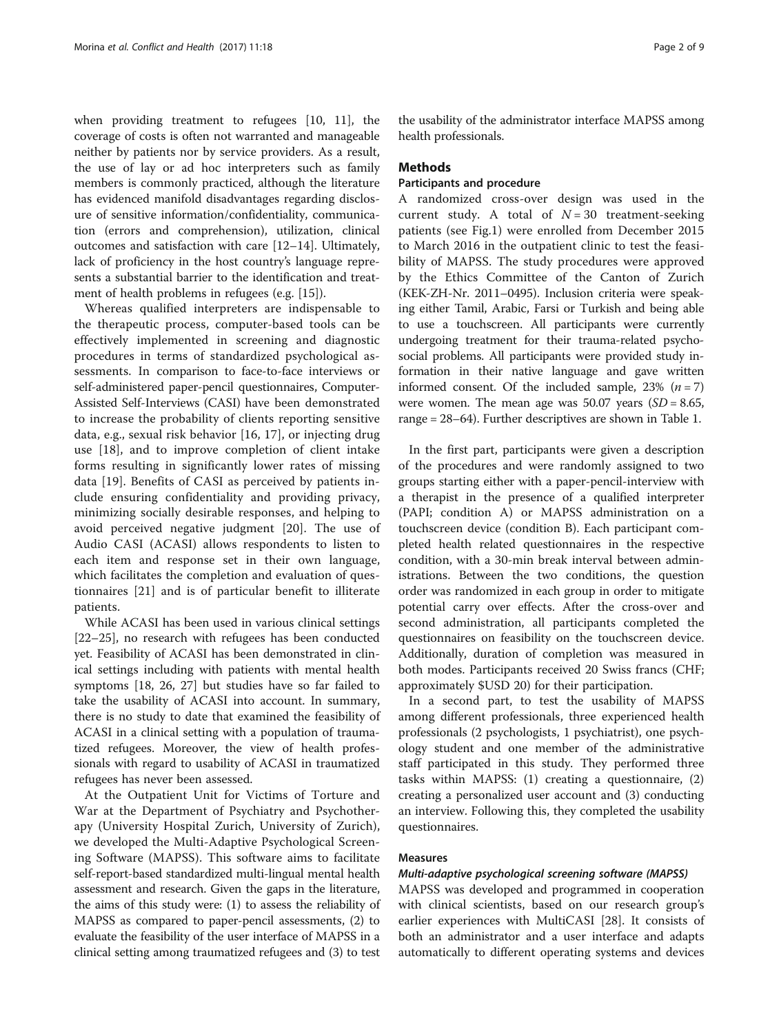when providing treatment to refugees [[10,](#page-7-0) [11](#page-8-0)], the coverage of costs is often not warranted and manageable neither by patients nor by service providers. As a result, the use of lay or ad hoc interpreters such as family members is commonly practiced, although the literature has evidenced manifold disadvantages regarding disclosure of sensitive information/confidentiality, communication (errors and comprehension), utilization, clinical outcomes and satisfaction with care [[12](#page-8-0)–[14](#page-8-0)]. Ultimately, lack of proficiency in the host country's language represents a substantial barrier to the identification and treatment of health problems in refugees (e.g. [\[15\]](#page-8-0)).

Whereas qualified interpreters are indispensable to the therapeutic process, computer-based tools can be effectively implemented in screening and diagnostic procedures in terms of standardized psychological assessments. In comparison to face-to-face interviews or self-administered paper-pencil questionnaires, Computer-Assisted Self-Interviews (CASI) have been demonstrated to increase the probability of clients reporting sensitive data, e.g., sexual risk behavior [[16, 17](#page-8-0)], or injecting drug use [[18\]](#page-8-0), and to improve completion of client intake forms resulting in significantly lower rates of missing data [[19\]](#page-8-0). Benefits of CASI as perceived by patients include ensuring confidentiality and providing privacy, minimizing socially desirable responses, and helping to avoid perceived negative judgment [[20](#page-8-0)]. The use of Audio CASI (ACASI) allows respondents to listen to each item and response set in their own language, which facilitates the completion and evaluation of questionnaires [[21\]](#page-8-0) and is of particular benefit to illiterate patients.

While ACASI has been used in various clinical settings [[22](#page-8-0)–[25](#page-8-0)], no research with refugees has been conducted yet. Feasibility of ACASI has been demonstrated in clinical settings including with patients with mental health symptoms [[18, 26, 27\]](#page-8-0) but studies have so far failed to take the usability of ACASI into account. In summary, there is no study to date that examined the feasibility of ACASI in a clinical setting with a population of traumatized refugees. Moreover, the view of health professionals with regard to usability of ACASI in traumatized refugees has never been assessed.

At the Outpatient Unit for Victims of Torture and War at the Department of Psychiatry and Psychotherapy (University Hospital Zurich, University of Zurich), we developed the Multi-Adaptive Psychological Screening Software (MAPSS). This software aims to facilitate self-report-based standardized multi-lingual mental health assessment and research. Given the gaps in the literature, the aims of this study were: (1) to assess the reliability of MAPSS as compared to paper-pencil assessments, (2) to evaluate the feasibility of the user interface of MAPSS in a clinical setting among traumatized refugees and (3) to test

the usability of the administrator interface MAPSS among health professionals.

#### Methods

## Participants and procedure

A randomized cross-over design was used in the current study. A total of  $N = 30$  treatment-seeking patients (see Fig.[1\)](#page-2-0) were enrolled from December 2015 to March 2016 in the outpatient clinic to test the feasibility of MAPSS. The study procedures were approved by the Ethics Committee of the Canton of Zurich (KEK-ZH-Nr. 2011–0495). Inclusion criteria were speaking either Tamil, Arabic, Farsi or Turkish and being able to use a touchscreen. All participants were currently undergoing treatment for their trauma-related psychosocial problems. All participants were provided study information in their native language and gave written informed consent. Of the included sample, 23%  $(n = 7)$ were women. The mean age was  $50.07$  years  $(SD = 8.65,$ range = 28–64). Further descriptives are shown in Table [1](#page-3-0).

In the first part, participants were given a description of the procedures and were randomly assigned to two groups starting either with a paper-pencil-interview with a therapist in the presence of a qualified interpreter (PAPI; condition A) or MAPSS administration on a touchscreen device (condition B). Each participant completed health related questionnaires in the respective condition, with a 30-min break interval between administrations. Between the two conditions, the question order was randomized in each group in order to mitigate potential carry over effects. After the cross-over and second administration, all participants completed the questionnaires on feasibility on the touchscreen device. Additionally, duration of completion was measured in both modes. Participants received 20 Swiss francs (CHF; approximately \$USD 20) for their participation.

In a second part, to test the usability of MAPSS among different professionals, three experienced health professionals (2 psychologists, 1 psychiatrist), one psychology student and one member of the administrative staff participated in this study. They performed three tasks within MAPSS: (1) creating a questionnaire, (2) creating a personalized user account and (3) conducting an interview. Following this, they completed the usability questionnaires.

## Measures

## Multi-adaptive psychological screening software (MAPSS)

MAPSS was developed and programmed in cooperation with clinical scientists, based on our research group's earlier experiences with MultiCASI [[28\]](#page-8-0). It consists of both an administrator and a user interface and adapts automatically to different operating systems and devices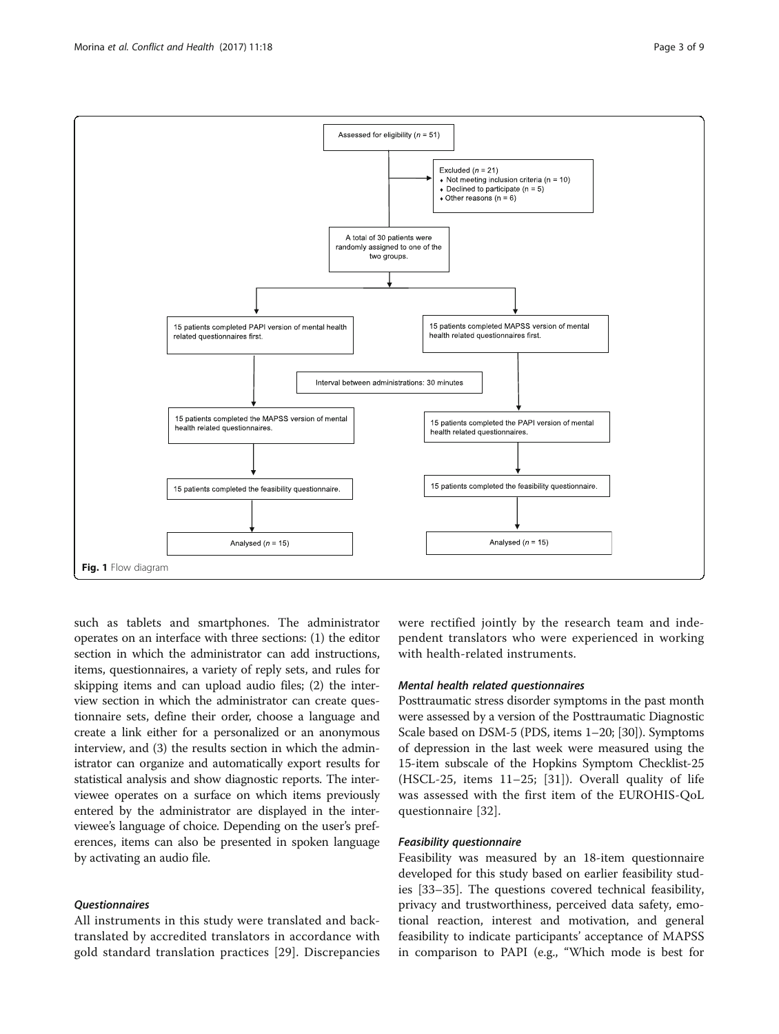such as tablets and smartphones. The administrator operates on an interface with three sections: (1) the editor section in which the administrator can add instructions, items, questionnaires, a variety of reply sets, and rules for skipping items and can upload audio files; (2) the interview section in which the administrator can create questionnaire sets, define their order, choose a language and create a link either for a personalized or an anonymous interview, and (3) the results section in which the administrator can organize and automatically export results for statistical analysis and show diagnostic reports. The interviewee operates on a surface on which items previously entered by the administrator are displayed in the interviewee's language of choice. Depending on the user's preferences, items can also be presented in spoken language by activating an audio file.

## Questionnaires

All instruments in this study were translated and backtranslated by accredited translators in accordance with gold standard translation practices [[29](#page-8-0)]. Discrepancies

were rectified jointly by the research team and independent translators who were experienced in working with health-related instruments.

## Mental health related questionnaires

Posttraumatic stress disorder symptoms in the past month were assessed by a version of the Posttraumatic Diagnostic Scale based on DSM-5 (PDS, items 1–20; [[30](#page-8-0)]). Symptoms of depression in the last week were measured using the 15-item subscale of the Hopkins Symptom Checklist-25 (HSCL-25, items 11–25; [[31](#page-8-0)]). Overall quality of life was assessed with the first item of the EUROHIS-QoL questionnaire [[32\]](#page-8-0).

## Feasibility questionnaire

Feasibility was measured by an 18-item questionnaire developed for this study based on earlier feasibility studies [[33](#page-8-0)–[35](#page-8-0)]. The questions covered technical feasibility, privacy and trustworthiness, perceived data safety, emotional reaction, interest and motivation, and general feasibility to indicate participants' acceptance of MAPSS in comparison to PAPI (e.g., "Which mode is best for

<span id="page-2-0"></span>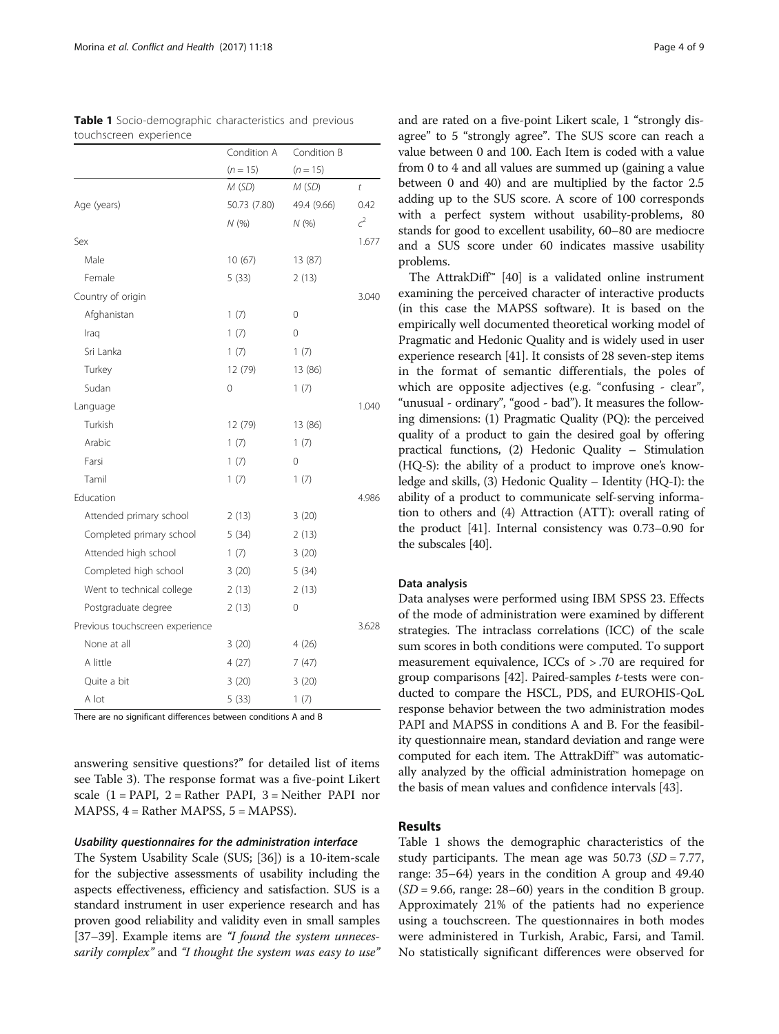|                                 | Condition A  | Condition B |                |
|---------------------------------|--------------|-------------|----------------|
|                                 | $(n = 15)$   | $(n = 15)$  |                |
|                                 | M(SD)        | M(SD)       | t              |
| Age (years)                     | 50.73 (7.80) | 49.4 (9.66) | 0.42           |
|                                 | N(%)         | N(%)        | c <sup>2</sup> |
| Sex                             |              |             | 1.677          |
| Male                            | 10(67)       | 13 (87)     |                |
| Female                          | 5(33)        | 2(13)       |                |
| Country of origin               |              |             | 3.040          |
| Afghanistan                     | 1(7)         | 0           |                |
| Iraq                            | 1(7)         | 0           |                |
| Sri Lanka                       | 1(7)         | 1(7)        |                |
| Turkey                          | 12 (79)      | 13 (86)     |                |
| Sudan                           | 0            | 1(7)        |                |
| Language                        |              |             | 1.040          |
| Turkish                         | 12 (79)      | 13 (86)     |                |
| Arabic                          | 1(7)         | 1(7)        |                |
| Farsi                           | 1(7)         | 0           |                |
| Tamil                           | 1(7)         | 1(7)        |                |
| Education                       |              |             | 4.986          |
| Attended primary school         | 2(13)        | 3(20)       |                |
| Completed primary school        | 5(34)        | 2(13)       |                |
| Attended high school            | 1(7)         | 3(20)       |                |
| Completed high school           | 3(20)        | 5(34)       |                |
| Went to technical college       | 2(13)        | 2(13)       |                |
| Postgraduate degree             | 2 (13)       | 0           |                |
| Previous touchscreen experience |              |             | 3.628          |
| None at all                     | 3(20)        | 4 (26)      |                |
| A little                        | 4(27)        | 7(47)       |                |
| Quite a bit                     | 3 (20)       | 3(20)       |                |
| A lot                           | 5(33)        | 1(7)        |                |

<span id="page-3-0"></span>

| Table 1 Socio-demographic characteristics and previous |  |  |
|--------------------------------------------------------|--|--|
| touchscreen experience                                 |  |  |

There are no significant differences between conditions A and B

answering sensitive questions?" for detailed list of items see Table [3\)](#page-5-0). The response format was a five-point Likert scale  $(1 = PAPI, 2 = Rather PAPI, 3 = Neither PAPI nor$ MAPSS, 4 = Rather MAPSS, 5 = MAPSS).

#### Usability questionnaires for the administration interface

The System Usability Scale (SUS; [[36](#page-8-0)]) is a 10-item-scale for the subjective assessments of usability including the aspects effectiveness, efficiency and satisfaction. SUS is a standard instrument in user experience research and has proven good reliability and validity even in small samples [[37](#page-8-0)–[39\]](#page-8-0). Example items are "I found the system unnecessarily complex" and "I thought the system was easy to use" and are rated on a five-point Likert scale, 1 "strongly disagree" to 5 "strongly agree". The SUS score can reach a value between 0 and 100. Each Item is coded with a value from 0 to 4 and all values are summed up (gaining a value between 0 and 40) and are multiplied by the factor 2.5 adding up to the SUS score. A score of 100 corresponds with a perfect system without usability-problems, 80 stands for good to excellent usability, 60–80 are mediocre and a SUS score under 60 indicates massive usability problems.

The AttrakDiff™ [[40](#page-8-0)] is a validated online instrument examining the perceived character of interactive products (in this case the MAPSS software). It is based on the empirically well documented theoretical working model of Pragmatic and Hedonic Quality and is widely used in user experience research [\[41\]](#page-8-0). It consists of 28 seven-step items in the format of semantic differentials, the poles of which are opposite adjectives (e.g. "confusing - clear", "unusual - ordinary", "good - bad"). It measures the following dimensions: (1) Pragmatic Quality (PQ): the perceived quality of a product to gain the desired goal by offering practical functions, (2) Hedonic Quality – Stimulation (HQ-S): the ability of a product to improve one's knowledge and skills, (3) Hedonic Quality – Identity (HQ-I): the ability of a product to communicate self-serving information to others and (4) Attraction (ATT): overall rating of the product [\[41\]](#page-8-0). Internal consistency was 0.73–0.90 for the subscales [[40](#page-8-0)].

## Data analysis

Data analyses were performed using IBM SPSS 23. Effects of the mode of administration were examined by different strategies. The intraclass correlations (ICC) of the scale sum scores in both conditions were computed. To support measurement equivalence, ICCs of > .70 are required for group comparisons  $[42]$  $[42]$  $[42]$ . Paired-samples *t*-tests were conducted to compare the HSCL, PDS, and EUROHIS-QoL response behavior between the two administration modes PAPI and MAPSS in conditions A and B. For the feasibility questionnaire mean, standard deviation and range were computed for each item. The AttrakDiff™ was automatically analyzed by the official administration homepage on the basis of mean values and confidence intervals [\[43\]](#page-8-0).

## Results

Table 1 shows the demographic characteristics of the study participants. The mean age was  $50.73$  (SD = 7.77, range: 35–64) years in the condition A group and 49.40  $(SD = 9.66$ , range: 28–60) years in the condition B group. Approximately 21% of the patients had no experience using a touchscreen. The questionnaires in both modes were administered in Turkish, Arabic, Farsi, and Tamil. No statistically significant differences were observed for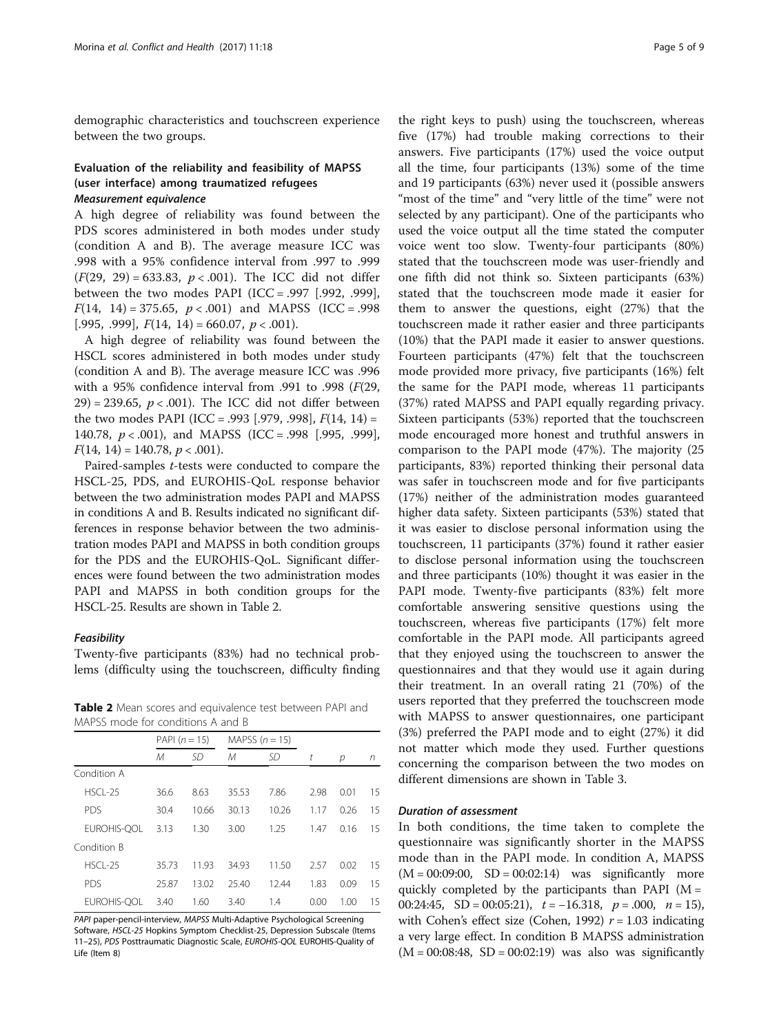demographic characteristics and touchscreen experience between the two groups.

## Evaluation of the reliability and feasibility of MAPSS (user interface) among traumatized refugees Measurement equivalence

A high degree of reliability was found between the PDS scores administered in both modes under study (condition A and B). The average measure ICC was .998 with a 95% confidence interval from .997 to .999  $(F(29, 29) = 633.83, p < .001)$ . The ICC did not differ between the two modes PAPI (ICC = .997 [.992, .999],  $F(14, 14) = 375.65, p < .001$  and MAPSS (ICC = .998) [.995, .999],  $F(14, 14) = 660.07$ ,  $p < .001$ ).

A high degree of reliability was found between the HSCL scores administered in both modes under study (condition A and B). The average measure ICC was .996 with a 95% confidence interval from .991 to .998 (F(29,  $29$  = 239.65,  $p < .001$ ). The ICC did not differ between the two modes PAPI (ICC = .993 [.979, .998],  $F(14, 14)$  = 140.78,  $p < .001$ ), and MAPSS (ICC = .998 [.995, .999],  $F(14, 14) = 140.78, p < .001$ ).

Paired-samples t-tests were conducted to compare the HSCL-25, PDS, and EUROHIS-QoL response behavior between the two administration modes PAPI and MAPSS in conditions A and B. Results indicated no significant differences in response behavior between the two administration modes PAPI and MAPSS in both condition groups for the PDS and the EUROHIS-QoL. Significant differences were found between the two administration modes PAPI and MAPSS in both condition groups for the HSCL-25. Results are shown in Table 2.

#### Feasibility

Twenty-five participants (83%) had no technical problems (difficulty using the touchscreen, difficulty finding

Table 2 Mean scores and equivalence test between PAPI and MAPSS mode for conditions A and B

|             | PAPI $(n = 15)$ |       | MAPSS $(n = 15)$ |       |      |      |    |
|-------------|-----------------|-------|------------------|-------|------|------|----|
|             | М               | SD    | М                | SD    | t    | р    | n  |
| Condition A |                 |       |                  |       |      |      |    |
| $HSCI - 25$ | 36.6            | 8.63  | 35.53            | 7.86  | 2.98 | 0.01 | 15 |
| <b>PDS</b>  | 30.4            | 10.66 | 30.13            | 10.26 | 1.17 | 0.26 | 15 |
| EUROHIS-OOL | 3.13            | 1.30  | 3.00             | 1.25  | 1.47 | 0.16 | 15 |
| Condition B |                 |       |                  |       |      |      |    |
| $HSCI - 25$ | 35.73           | 11.93 | 34.93            | 11.50 | 2.57 | 0.02 | 15 |
| <b>PDS</b>  | 25.87           | 13.02 | 25.40            | 12.44 | 1.83 | 0.09 | 15 |
| EUROHIS-OOL | 3.40            | 1.60  | 3.40             | 1.4   | 0.00 | 1.00 | 15 |

PAPI paper-pencil-interview, MAPSS Multi-Adaptive Psychological Screening Software, HSCL-25 Hopkins Symptom Checklist-25, Depression Subscale (Items 11–25), PDS Posttraumatic Diagnostic Scale, EUROHIS-QOL EUROHIS-Quality of Life (Item 8)

the right keys to push) using the touchscreen, whereas five (17%) had trouble making corrections to their answers. Five participants (17%) used the voice output all the time, four participants (13%) some of the time and 19 participants (63%) never used it (possible answers "most of the time" and "very little of the time" were not selected by any participant). One of the participants who used the voice output all the time stated the computer voice went too slow. Twenty-four participants (80%) stated that the touchscreen mode was user-friendly and one fifth did not think so. Sixteen participants (63%) stated that the touchscreen mode made it easier for them to answer the questions, eight (27%) that the touchscreen made it rather easier and three participants (10%) that the PAPI made it easier to answer questions. Fourteen participants (47%) felt that the touchscreen mode provided more privacy, five participants (16%) felt the same for the PAPI mode, whereas 11 participants (37%) rated MAPSS and PAPI equally regarding privacy. Sixteen participants (53%) reported that the touchscreen mode encouraged more honest and truthful answers in comparison to the PAPI mode (47%). The majority (25 participants, 83%) reported thinking their personal data was safer in touchscreen mode and for five participants (17%) neither of the administration modes guaranteed higher data safety. Sixteen participants (53%) stated that it was easier to disclose personal information using the touchscreen, 11 participants (37%) found it rather easier to disclose personal information using the touchscreen and three participants (10%) thought it was easier in the PAPI mode. Twenty-five participants (83%) felt more comfortable answering sensitive questions using the touchscreen, whereas five participants (17%) felt more comfortable in the PAPI mode. All participants agreed that they enjoyed using the touchscreen to answer the questionnaires and that they would use it again during their treatment. In an overall rating 21 (70%) of the users reported that they preferred the touchscreen mode with MAPSS to answer questionnaires, one participant (3%) preferred the PAPI mode and to eight (27%) it did not matter which mode they used. Further questions concerning the comparison between the two modes on different dimensions are shown in Table [3](#page-5-0).

#### Duration of assessment

In both conditions, the time taken to complete the questionnaire was significantly shorter in the MAPSS mode than in the PAPI mode. In condition A, MAPSS  $(M = 00:09:00, SD = 00:02:14)$  was significantly more quickly completed by the participants than PAPI ( $M =$ 00:24:45, SD = 00:05:21),  $t = -16.318$ ,  $p = .000$ ,  $n = 15$ ), with Cohen's effect size (Cohen, 1992)  $r = 1.03$  indicating a very large effect. In condition B MAPSS administration  $(M = 00:08:48, SD = 00:02:19)$  was also was significantly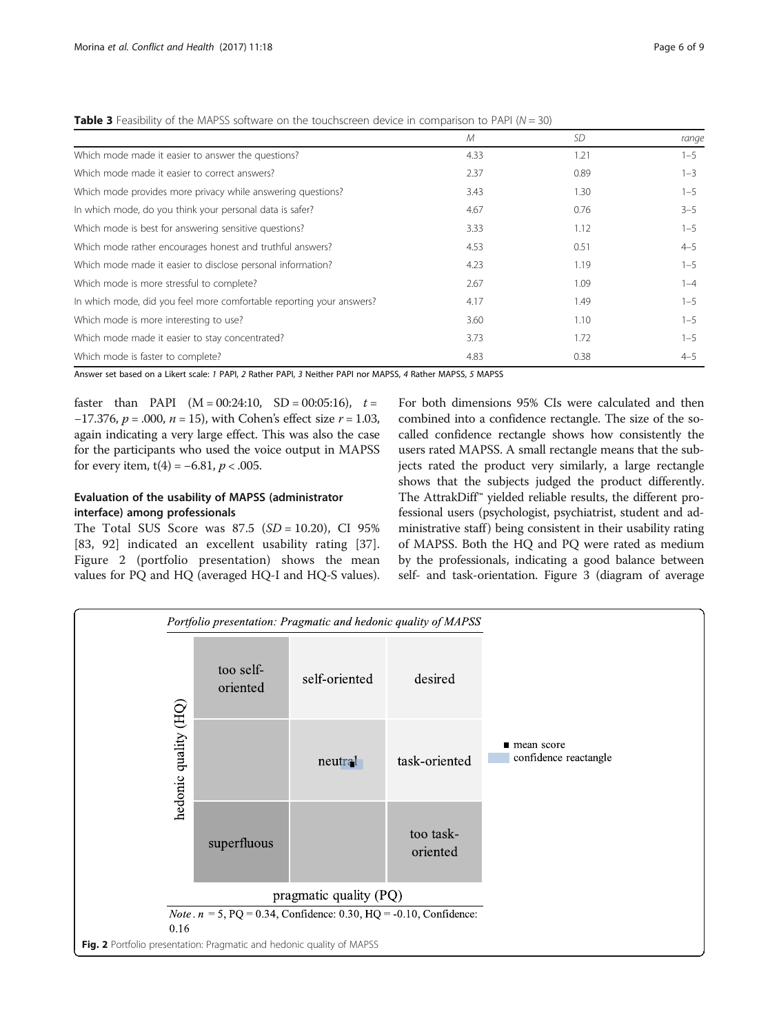<span id="page-5-0"></span>

| Table 3 Feasibility of the MAPSS software on the touchscreen device in comparison to PAPI ( $N = 30$ ) |  |
|--------------------------------------------------------------------------------------------------------|--|
|                                                                                                        |  |

|                                                                      | $\mathcal M$ | <b>SD</b> | range   |
|----------------------------------------------------------------------|--------------|-----------|---------|
| Which mode made it easier to answer the questions?                   | 4.33         | 1.21      | $1 - 5$ |
| Which mode made it easier to correct answers?                        | 2.37         | 0.89      | $1 - 3$ |
| Which mode provides more privacy while answering questions?          | 3.43         | 1.30      | $1 - 5$ |
| In which mode, do you think your personal data is safer?             | 4.67         | 0.76      | $3 - 5$ |
| Which mode is best for answering sensitive questions?                | 3.33         | 1.12      | $1 - 5$ |
| Which mode rather encourages honest and truthful answers?            | 4.53         | 0.51      | $4 - 5$ |
| Which mode made it easier to disclose personal information?          | 4.23         | 1.19      | $1 - 5$ |
| Which mode is more stressful to complete?                            | 2.67         | 1.09      | $1 - 4$ |
| In which mode, did you feel more comfortable reporting your answers? | 4.17         | 1.49      | $1 - 5$ |
| Which mode is more interesting to use?                               | 3.60         | 1.10      | $1 - 5$ |
| Which mode made it easier to stay concentrated?                      | 3.73         | 1.72      | $1 - 5$ |
| Which mode is faster to complete?                                    | 4.83         | 0.38      | $4 - 5$ |

Answer set based on a Likert scale: 1 PAPI, 2 Rather PAPI, 3 Neither PAPI nor MAPSS, 4 Rather MAPSS, 5 MAPSS

faster than PAPI  $(M = 00:24:10, SD = 00:05:16), t =$ −17.376,  $p = .000$ ,  $n = 15$ ), with Cohen's effect size  $r = 1.03$ , again indicating a very large effect. This was also the case for the participants who used the voice output in MAPSS for every item,  $t(4) = -6.81$ ,  $p < .005$ .

## Evaluation of the usability of MAPSS (administrator interface) among professionals

The Total SUS Score was  $87.5$  (SD = 10.20), CI 95% [83, 92] indicated an excellent usability rating [[37](#page-8-0)]. Figure 2 (portfolio presentation) shows the mean values for PQ and HQ (averaged HQ-I and HQ-S values).

For both dimensions 95% CIs were calculated and then combined into a confidence rectangle. The size of the socalled confidence rectangle shows how consistently the users rated MAPSS. A small rectangle means that the subjects rated the product very similarly, a large rectangle shows that the subjects judged the product differently. The AttrakDiff™ yielded reliable results, the different professional users (psychologist, psychiatrist, student and administrative staff) being consistent in their usability rating of MAPSS. Both the HQ and PQ were rated as medium by the professionals, indicating a good balance between self- and task-orientation. Figure [3](#page-6-0) (diagram of average

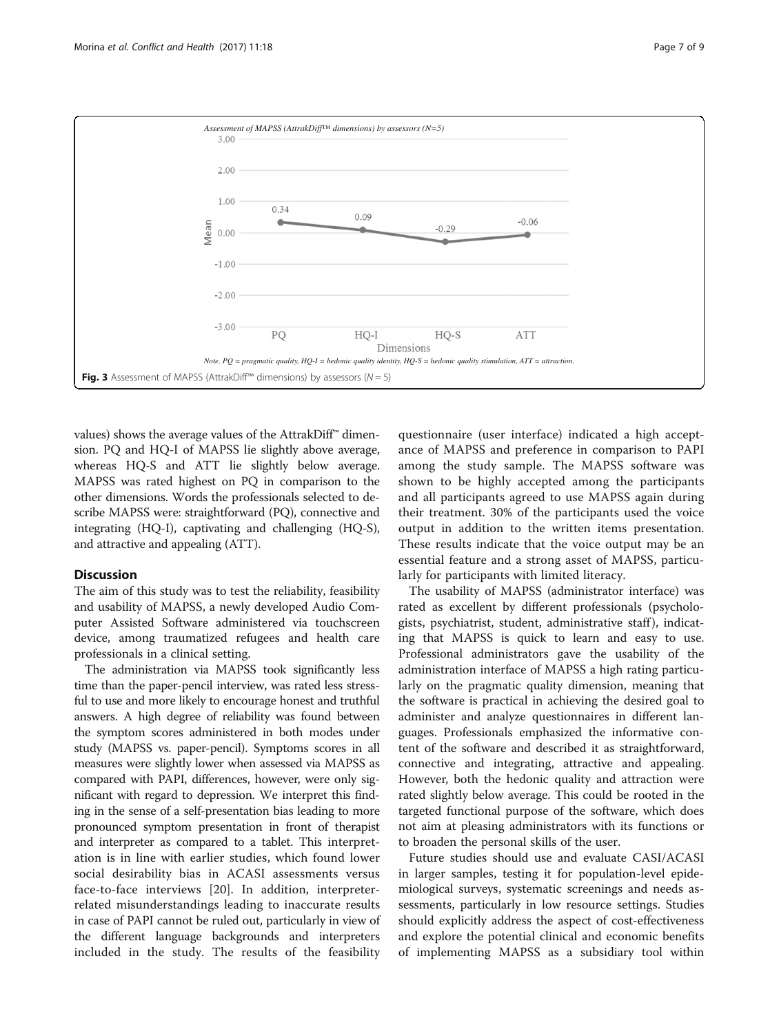<span id="page-6-0"></span>

values) shows the average values of the AttrakDiff<sup>™</sup> dimension. PQ and HQ-I of MAPSS lie slightly above average, whereas HQ-S and ATT lie slightly below average. MAPSS was rated highest on PQ in comparison to the other dimensions. Words the professionals selected to describe MAPSS were: straightforward (PQ), connective and integrating (HQ-I), captivating and challenging (HQ-S), and attractive and appealing (ATT).

## **Discussion**

The aim of this study was to test the reliability, feasibility and usability of MAPSS, a newly developed Audio Computer Assisted Software administered via touchscreen device, among traumatized refugees and health care professionals in a clinical setting.

The administration via MAPSS took significantly less time than the paper-pencil interview, was rated less stressful to use and more likely to encourage honest and truthful answers. A high degree of reliability was found between the symptom scores administered in both modes under study (MAPSS vs. paper-pencil). Symptoms scores in all measures were slightly lower when assessed via MAPSS as compared with PAPI, differences, however, were only significant with regard to depression. We interpret this finding in the sense of a self-presentation bias leading to more pronounced symptom presentation in front of therapist and interpreter as compared to a tablet. This interpretation is in line with earlier studies, which found lower social desirability bias in ACASI assessments versus face-to-face interviews [\[20](#page-8-0)]. In addition, interpreterrelated misunderstandings leading to inaccurate results in case of PAPI cannot be ruled out, particularly in view of the different language backgrounds and interpreters included in the study. The results of the feasibility

questionnaire (user interface) indicated a high acceptance of MAPSS and preference in comparison to PAPI among the study sample. The MAPSS software was shown to be highly accepted among the participants and all participants agreed to use MAPSS again during their treatment. 30% of the participants used the voice output in addition to the written items presentation. These results indicate that the voice output may be an essential feature and a strong asset of MAPSS, particularly for participants with limited literacy.

The usability of MAPSS (administrator interface) was rated as excellent by different professionals (psychologists, psychiatrist, student, administrative staff ), indicating that MAPSS is quick to learn and easy to use. Professional administrators gave the usability of the administration interface of MAPSS a high rating particularly on the pragmatic quality dimension, meaning that the software is practical in achieving the desired goal to administer and analyze questionnaires in different languages. Professionals emphasized the informative content of the software and described it as straightforward, connective and integrating, attractive and appealing. However, both the hedonic quality and attraction were rated slightly below average. This could be rooted in the targeted functional purpose of the software, which does not aim at pleasing administrators with its functions or to broaden the personal skills of the user.

Future studies should use and evaluate CASI/ACASI in larger samples, testing it for population-level epidemiological surveys, systematic screenings and needs assessments, particularly in low resource settings. Studies should explicitly address the aspect of cost-effectiveness and explore the potential clinical and economic benefits of implementing MAPSS as a subsidiary tool within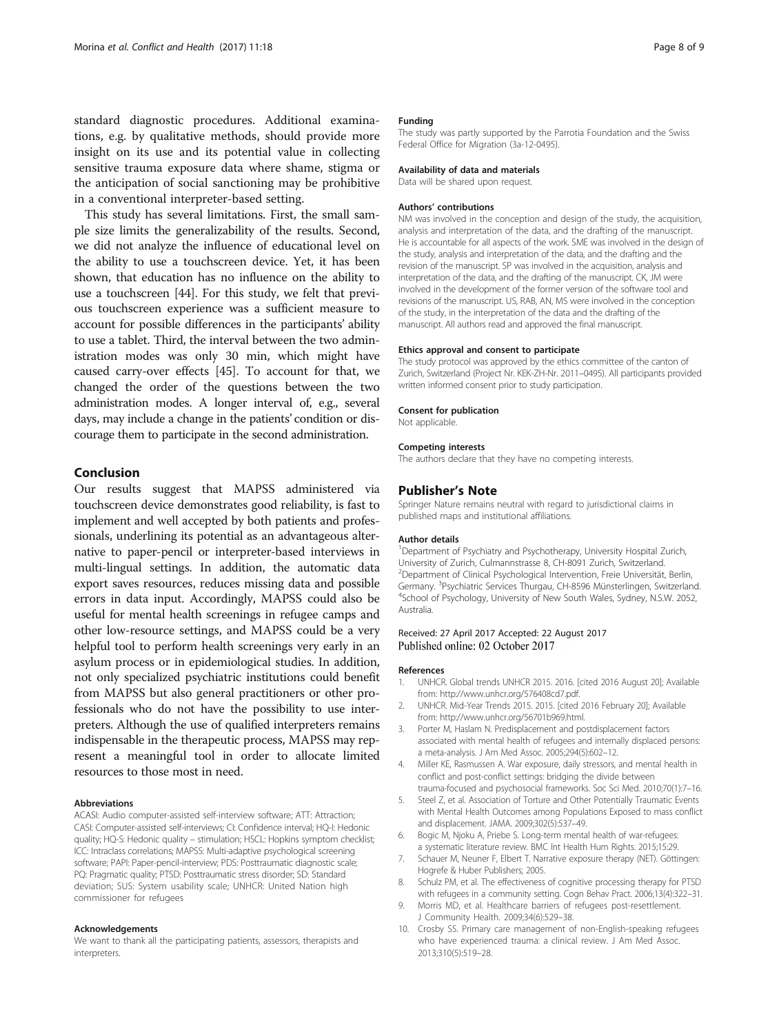<span id="page-7-0"></span>standard diagnostic procedures. Additional examinations, e.g. by qualitative methods, should provide more insight on its use and its potential value in collecting sensitive trauma exposure data where shame, stigma or the anticipation of social sanctioning may be prohibitive in a conventional interpreter-based setting.

This study has several limitations. First, the small sample size limits the generalizability of the results. Second, we did not analyze the influence of educational level on the ability to use a touchscreen device. Yet, it has been shown, that education has no influence on the ability to use a touchscreen [\[44\]](#page-8-0). For this study, we felt that previous touchscreen experience was a sufficient measure to account for possible differences in the participants' ability to use a tablet. Third, the interval between the two administration modes was only 30 min, which might have caused carry-over effects [[45](#page-8-0)]. To account for that, we changed the order of the questions between the two administration modes. A longer interval of, e.g., several days, may include a change in the patients' condition or discourage them to participate in the second administration.

#### Conclusion

Our results suggest that MAPSS administered via touchscreen device demonstrates good reliability, is fast to implement and well accepted by both patients and professionals, underlining its potential as an advantageous alternative to paper-pencil or interpreter-based interviews in multi-lingual settings. In addition, the automatic data export saves resources, reduces missing data and possible errors in data input. Accordingly, MAPSS could also be useful for mental health screenings in refugee camps and other low-resource settings, and MAPSS could be a very helpful tool to perform health screenings very early in an asylum process or in epidemiological studies. In addition, not only specialized psychiatric institutions could benefit from MAPSS but also general practitioners or other professionals who do not have the possibility to use interpreters. Although the use of qualified interpreters remains indispensable in the therapeutic process, MAPSS may represent a meaningful tool in order to allocate limited resources to those most in need.

#### Abbreviations

ACASI: Audio computer-assisted self-interview software; ATT: Attraction; CASI: Computer-assisted self-interviews; CI: Confidence interval; HQ-I: Hedonic quality; HQ-S: Hedonic quality – stimulation; HSCL: Hopkins symptom checklist; ICC: Intraclass correlations; MAPSS: Multi-adaptive psychological screening software; PAPI: Paper-pencil-interview; PDS: Posttraumatic diagnostic scale; PQ: Pragmatic quality; PTSD: Posttraumatic stress disorder; SD: Standard deviation; SUS: System usability scale; UNHCR: United Nation high commissioner for refugees

#### Acknowledgements

We want to thank all the participating patients, assessors, therapists and interpreters.

#### Funding

The study was partly supported by the Parrotia Foundation and the Swiss Federal Office for Migration (3a-12-0495).

#### Availability of data and materials

Data will be shared upon request.

#### Authors' contributions

NM was involved in the conception and design of the study, the acquisition, analysis and interpretation of the data, and the drafting of the manuscript. He is accountable for all aspects of the work. SME was involved in the design of the study, analysis and interpretation of the data, and the drafting and the revision of the manuscript. SP was involved in the acquisition, analysis and interpretation of the data, and the drafting of the manuscript. CK, JM were involved in the development of the former version of the software tool and revisions of the manuscript. US, RAB, AN, MS were involved in the conception of the study, in the interpretation of the data and the drafting of the manuscript. All authors read and approved the final manuscript.

#### Ethics approval and consent to participate

The study protocol was approved by the ethics committee of the canton of Zurich, Switzerland (Project Nr. KEK-ZH-Nr. 2011–0495). All participants provided written informed consent prior to study participation.

#### Consent for publication

Not applicable.

#### Competing interests

The authors declare that they have no competing interests.

#### Publisher's Note

Springer Nature remains neutral with regard to jurisdictional claims in published maps and institutional affiliations.

#### Author details

<sup>1</sup>Department of Psychiatry and Psychotherapy, University Hospital Zurich, University of Zurich, Culmannstrasse 8, CH-8091 Zurich, Switzerland. <sup>2</sup>Department of Clinical Psychological Intervention, Freie Universität, Berlin, Germany. <sup>3</sup> Psychiatric Services Thurgau, CH-8596 Münsterlingen, Switzerland.<br><sup>4</sup> School of Psychology, University of Now South Wales, Sydney, N.S.W. 2052. <sup>4</sup>School of Psychology, University of New South Wales, Sydney, N.S.W. 2052, Australia.

#### Received: 27 April 2017 Accepted: 22 August 2017 Published online: 02 October 2017

#### References

- 1. UNHCR. Global trends UNHCR 2015. 2016. [cited 2016 August 20]; Available from: [http://www.unhcr.org/576408cd7.pdf.](http://www.unhcr.org/576408cd7.pdf)
- 2. UNHCR. Mid-Year Trends 2015. 2015. [cited 2016 February 20]; Available from: [http://www.unhcr.org/56701b969.html.](http://www.unhcr.org/56701b969.html)
- 3. Porter M, Haslam N. Predisplacement and postdisplacement factors associated with mental health of refugees and internally displaced persons: a meta-analysis. J Am Med Assoc. 2005;294(5):602–12.
- 4. Miller KE, Rasmussen A. War exposure, daily stressors, and mental health in conflict and post-conflict settings: bridging the divide between trauma-focused and psychosocial frameworks. Soc Sci Med. 2010;70(1):7–16.
- 5. Steel Z, et al. Association of Torture and Other Potentially Traumatic Events with Mental Health Outcomes among Populations Exposed to mass conflict and displacement. JAMA. 2009;302(5):537–49.
- 6. Bogic M, Njoku A, Priebe S. Long-term mental health of war-refugees: a systematic literature review. BMC Int Health Hum Rights. 2015;15:29.
- 7. Schauer M, Neuner F, Elbert T. Narrative exposure therapy (NET). Göttingen: Hogrefe & Huber Publishers; 2005.
- 8. Schulz PM, et al. The effectiveness of cognitive processing therapy for PTSD with refugees in a community setting. Cogn Behav Pract. 2006;13(4):322–31.
- 9. Morris MD, et al. Healthcare barriers of refugees post-resettlement. J Community Health. 2009;34(6):529–38.
- 10. Crosby SS. Primary care management of non-English-speaking refugees who have experienced trauma: a clinical review. J Am Med Assoc. 2013;310(5):519–28.